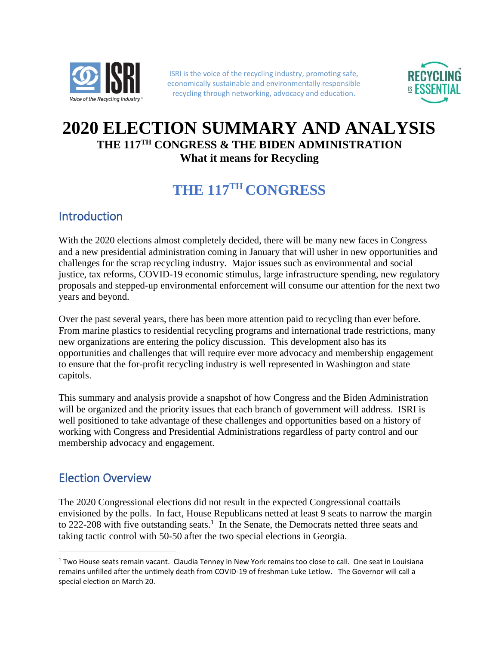

ISRI is the voice of the recycling industry, promoting safe, economically sustainable and environmentally responsible recycling through networking, advocacy and education.



### **2020 ELECTION SUMMARY AND ANALYSIS THE 117TH CONGRESS & THE BIDEN ADMINISTRATION What it means for Recycling**

## **THE 117TH CONGRESS**

### **Introduction**

With the 2020 elections almost completely decided, there will be many new faces in Congress and a new presidential administration coming in January that will usher in new opportunities and challenges for the scrap recycling industry. Major issues such as environmental and social justice, tax reforms, COVID-19 economic stimulus, large infrastructure spending, new regulatory proposals and stepped-up environmental enforcement will consume our attention for the next two years and beyond.

Over the past several years, there has been more attention paid to recycling than ever before. From marine plastics to residential recycling programs and international trade restrictions, many new organizations are entering the policy discussion. This development also has its opportunities and challenges that will require ever more advocacy and membership engagement to ensure that the for-profit recycling industry is well represented in Washington and state capitols.

This summary and analysis provide a snapshot of how Congress and the Biden Administration will be organized and the priority issues that each branch of government will address. ISRI is well positioned to take advantage of these challenges and opportunities based on a history of working with Congress and Presidential Administrations regardless of party control and our membership advocacy and engagement.

### Election Overview

 $\overline{a}$ 

The 2020 Congressional elections did not result in the expected Congressional coattails envisioned by the polls. In fact, House Republicans netted at least 9 seats to narrow the margin to 222-208 with five outstanding seats.<sup>1</sup> In the Senate, the Democrats netted three seats and taking tactic control with 50-50 after the two special elections in Georgia.

<sup>&</sup>lt;sup>1</sup> Two House seats remain vacant. Claudia Tenney in New York remains too close to call. One seat in Louisiana remains unfilled after the untimely death from COVID-19 of freshman Luke Letlow. The Governor will call a special election on March 20.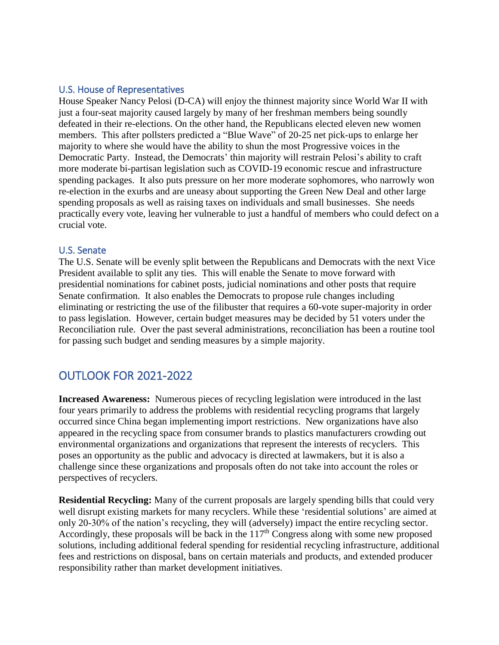### U.S. House of Representatives

House Speaker Nancy Pelosi (D-CA) will enjoy the thinnest majority since World War II with just a four-seat majority caused largely by many of her freshman members being soundly defeated in their re-elections. On the other hand, the Republicans elected eleven new women members. This after pollsters predicted a "Blue Wave" of 20-25 net pick-ups to enlarge her majority to where she would have the ability to shun the most Progressive voices in the Democratic Party. Instead, the Democrats' thin majority will restrain Pelosi's ability to craft more moderate bi-partisan legislation such as COVID-19 economic rescue and infrastructure spending packages. It also puts pressure on her more moderate sophomores, who narrowly won re-election in the exurbs and are uneasy about supporting the Green New Deal and other large spending proposals as well as raising taxes on individuals and small businesses. She needs practically every vote, leaving her vulnerable to just a handful of members who could defect on a crucial vote.

### U.S. Senate

The U.S. Senate will be evenly split between the Republicans and Democrats with the next Vice President available to split any ties. This will enable the Senate to move forward with presidential nominations for cabinet posts, judicial nominations and other posts that require Senate confirmation. It also enables the Democrats to propose rule changes including eliminating or restricting the use of the filibuster that requires a 60-vote super-majority in order to pass legislation. However, certain budget measures may be decided by 51 voters under the Reconciliation rule. Over the past several administrations, reconciliation has been a routine tool for passing such budget and sending measures by a simple majority.

### OUTLOOK FOR 2021-2022

**Increased Awareness:** Numerous pieces of recycling legislation were introduced in the last four years primarily to address the problems with residential recycling programs that largely occurred since China began implementing import restrictions. New organizations have also appeared in the recycling space from consumer brands to plastics manufacturers crowding out environmental organizations and organizations that represent the interests of recyclers. This poses an opportunity as the public and advocacy is directed at lawmakers, but it is also a challenge since these organizations and proposals often do not take into account the roles or perspectives of recyclers.

**Residential Recycling:** Many of the current proposals are largely spending bills that could very well disrupt existing markets for many recyclers. While these 'residential solutions' are aimed at only 20-30% of the nation's recycling, they will (adversely) impact the entire recycling sector. Accordingly, these proposals will be back in the  $117<sup>th</sup>$  Congress along with some new proposed solutions, including additional federal spending for residential recycling infrastructure, additional fees and restrictions on disposal, bans on certain materials and products, and extended producer responsibility rather than market development initiatives.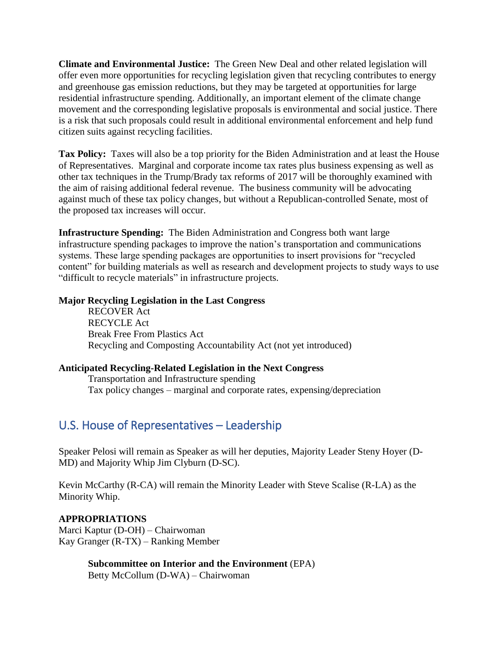**Climate and Environmental Justice:** The Green New Deal and other related legislation will offer even more opportunities for recycling legislation given that recycling contributes to energy and greenhouse gas emission reductions, but they may be targeted at opportunities for large residential infrastructure spending. Additionally, an important element of the climate change movement and the corresponding legislative proposals is environmental and social justice. There is a risk that such proposals could result in additional environmental enforcement and help fund citizen suits against recycling facilities.

**Tax Policy:** Taxes will also be a top priority for the Biden Administration and at least the House of Representatives. Marginal and corporate income tax rates plus business expensing as well as other tax techniques in the Trump/Brady tax reforms of 2017 will be thoroughly examined with the aim of raising additional federal revenue. The business community will be advocating against much of these tax policy changes, but without a Republican-controlled Senate, most of the proposed tax increases will occur.

**Infrastructure Spending:** The Biden Administration and Congress both want large infrastructure spending packages to improve the nation's transportation and communications systems. These large spending packages are opportunities to insert provisions for "recycled content" for building materials as well as research and development projects to study ways to use "difficult to recycle materials" in infrastructure projects.

### **Major Recycling Legislation in the Last Congress**

RECOVER Act RECYCLE Act Break Free From Plastics Act Recycling and Composting Accountability Act (not yet introduced)

### **Anticipated Recycling-Related Legislation in the Next Congress**

Transportation and Infrastructure spending Tax policy changes – marginal and corporate rates, expensing/depreciation

### U.S. House of Representatives – Leadership

Speaker Pelosi will remain as Speaker as will her deputies, Majority Leader Steny Hoyer (D-MD) and Majority Whip Jim Clyburn (D-SC).

Kevin McCarthy (R-CA) will remain the Minority Leader with Steve Scalise (R-LA) as the Minority Whip.

### **APPROPRIATIONS**

Marci Kaptur (D-OH) – Chairwoman Kay Granger (R-TX) – Ranking Member

> **Subcommittee on Interior and the Environment** (EPA) Betty McCollum (D-WA) – Chairwoman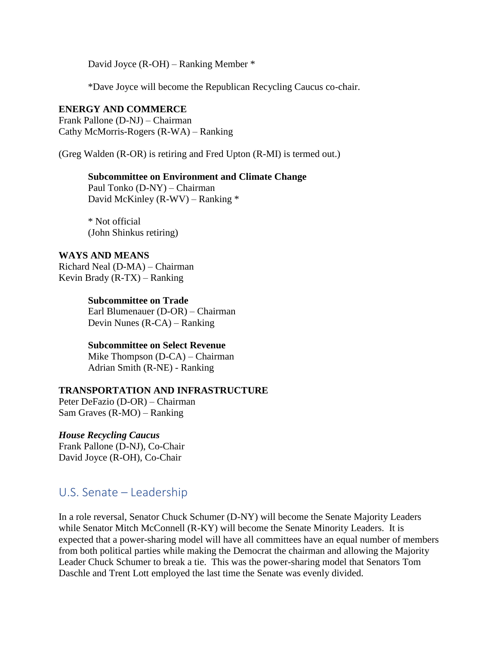David Joyce (R-OH) – Ranking Member \*

\*Dave Joyce will become the Republican Recycling Caucus co-chair.

### **ENERGY AND COMMERCE**

Frank Pallone (D-NJ) – Chairman Cathy McMorris-Rogers (R-WA) – Ranking

(Greg Walden (R-OR) is retiring and Fred Upton (R-MI) is termed out.)

#### **Subcommittee on Environment and Climate Change**

Paul Tonko (D-NY) – Chairman David McKinley (R-WV) – Ranking \*

\* Not official (John Shinkus retiring)

#### **WAYS AND MEANS**

Richard Neal (D-MA) – Chairman Kevin Brady (R-TX) – Ranking

#### **Subcommittee on Trade** Earl Blumenauer (D-OR) – Chairman Devin Nunes (R-CA) – Ranking

### **Subcommittee on Select Revenue**

Mike Thompson (D-CA) – Chairman Adrian Smith (R-NE) - Ranking

### **TRANSPORTATION AND INFRASTRUCTURE**

Peter DeFazio (D-OR) – Chairman Sam Graves (R-MO) – Ranking

### *House Recycling Caucus*

Frank Pallone (D-NJ), Co-Chair David Joyce (R-OH), Co-Chair

### U.S. Senate – Leadership

In a role reversal, Senator Chuck Schumer (D-NY) will become the Senate Majority Leaders while Senator Mitch McConnell (R-KY) will become the Senate Minority Leaders. It is expected that a power-sharing model will have all committees have an equal number of members from both political parties while making the Democrat the chairman and allowing the Majority Leader Chuck Schumer to break a tie. This was the power-sharing model that Senators Tom Daschle and Trent Lott employed the last time the Senate was evenly divided.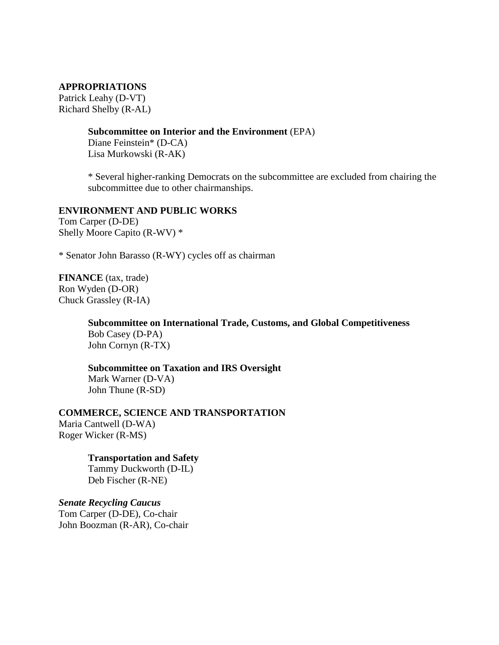### **APPROPRIATIONS**

Patrick Leahy (D-VT) Richard Shelby (R-AL)

#### **Subcommittee on Interior and the Environment** (EPA)

Diane Feinstein\* (D-CA) Lisa Murkowski (R-AK)

\* Several higher-ranking Democrats on the subcommittee are excluded from chairing the subcommittee due to other chairmanships.

**ENVIRONMENT AND PUBLIC WORKS**

Tom Carper (D-DE) Shelly Moore Capito (R-WV) \*

\* Senator John Barasso (R-WY) cycles off as chairman

**FINANCE** (tax, trade) Ron Wyden (D-OR) Chuck Grassley (R-IA)

> **Subcommittee on International Trade, Customs, and Global Competitiveness** Bob Casey (D-PA) John Cornyn (R-TX)

**Subcommittee on Taxation and IRS Oversight** Mark Warner (D-VA) John Thune (R-SD)

#### **COMMERCE, SCIENCE AND TRANSPORTATION**

Maria Cantwell (D-WA) Roger Wicker (R-MS)

> **Transportation and Safety** Tammy Duckworth (D-IL) Deb Fischer (R-NE)

*Senate Recycling Caucus* Tom Carper (D-DE), Co-chair John Boozman (R-AR), Co-chair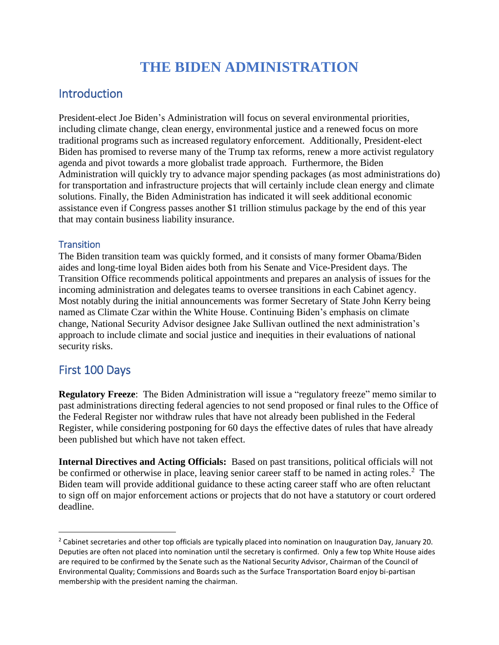## **THE BIDEN ADMINISTRATION**

### **Introduction**

President-elect Joe Biden's Administration will focus on several environmental priorities, including climate change, clean energy, environmental justice and a renewed focus on more traditional programs such as increased regulatory enforcement. Additionally, President-elect Biden has promised to reverse many of the Trump tax reforms, renew a more activist regulatory agenda and pivot towards a more globalist trade approach. Furthermore, the Biden Administration will quickly try to advance major spending packages (as most administrations do) for transportation and infrastructure projects that will certainly include clean energy and climate solutions. Finally, the Biden Administration has indicated it will seek additional economic assistance even if Congress passes another \$1 trillion stimulus package by the end of this year that may contain business liability insurance.

### **Transition**

The Biden transition team was quickly formed, and it consists of many former Obama/Biden aides and long-time loyal Biden aides both from his Senate and Vice-President days. The Transition Office recommends political appointments and prepares an analysis of issues for the incoming administration and delegates teams to oversee transitions in each Cabinet agency. Most notably during the initial announcements was former Secretary of State John Kerry being named as Climate Czar within the White House. Continuing Biden's emphasis on climate change, National Security Advisor designee Jake Sullivan outlined the next administration's approach to include climate and social justice and inequities in their evaluations of national security risks.

### First 100 Days

 $\overline{a}$ 

**Regulatory Freeze**: The Biden Administration will issue a "regulatory freeze" memo similar to past administrations directing federal agencies to not send proposed or final rules to the Office of the Federal Register nor withdraw rules that have not already been published in the Federal Register, while considering postponing for 60 days the effective dates of rules that have already been published but which have not taken effect.

**Internal Directives and Acting Officials:** Based on past transitions, political officials will not be confirmed or otherwise in place, leaving senior career staff to be named in acting roles.<sup>2</sup> The Biden team will provide additional guidance to these acting career staff who are often reluctant to sign off on major enforcement actions or projects that do not have a statutory or court ordered deadline.

 $2$  Cabinet secretaries and other top officials are typically placed into nomination on Inauguration Day, January 20. Deputies are often not placed into nomination until the secretary is confirmed. Only a few top White House aides are required to be confirmed by the Senate such as the National Security Advisor, Chairman of the Council of Environmental Quality; Commissions and Boards such as the Surface Transportation Board enjoy bi-partisan membership with the president naming the chairman.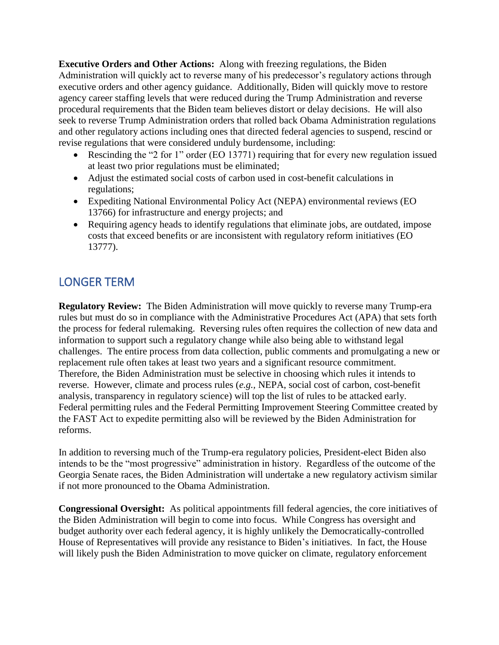**Executive Orders and Other Actions:** Along with freezing regulations, the Biden Administration will quickly act to reverse many of his predecessor's regulatory actions through executive orders and other agency guidance. Additionally, Biden will quickly move to restore agency career staffing levels that were reduced during the Trump Administration and reverse procedural requirements that the Biden team believes distort or delay decisions. He will also seek to reverse Trump Administration orders that rolled back Obama Administration regulations and other regulatory actions including ones that directed federal agencies to suspend, rescind or revise regulations that were considered unduly burdensome, including:

- Rescinding the "2 for 1" order (EO 13771) requiring that for every new regulation issued at least two prior regulations must be eliminated;
- Adjust the estimated social costs of carbon used in cost-benefit calculations in regulations;
- Expediting National Environmental Policy Act (NEPA) environmental reviews (EO 13766) for infrastructure and energy projects; and
- Requiring agency heads to identify regulations that eliminate jobs, are outdated, impose costs that exceed benefits or are inconsistent with regulatory reform initiatives (EO 13777).

### LONGER TERM

**Regulatory Review:** The Biden Administration will move quickly to reverse many Trump-era rules but must do so in compliance with the Administrative Procedures Act (APA) that sets forth the process for federal rulemaking. Reversing rules often requires the collection of new data and information to support such a regulatory change while also being able to withstand legal challenges. The entire process from data collection, public comments and promulgating a new or replacement rule often takes at least two years and a significant resource commitment. Therefore, the Biden Administration must be selective in choosing which rules it intends to reverse. However, climate and process rules (*e.g.,* NEPA, social cost of carbon, cost-benefit analysis, transparency in regulatory science) will top the list of rules to be attacked early. Federal permitting rules and the Federal Permitting Improvement Steering Committee created by the FAST Act to expedite permitting also will be reviewed by the Biden Administration for reforms.

In addition to reversing much of the Trump-era regulatory policies, President-elect Biden also intends to be the "most progressive" administration in history. Regardless of the outcome of the Georgia Senate races, the Biden Administration will undertake a new regulatory activism similar if not more pronounced to the Obama Administration.

**Congressional Oversight:** As political appointments fill federal agencies, the core initiatives of the Biden Administration will begin to come into focus. While Congress has oversight and budget authority over each federal agency, it is highly unlikely the Democratically-controlled House of Representatives will provide any resistance to Biden's initiatives. In fact, the House will likely push the Biden Administration to move quicker on climate, regulatory enforcement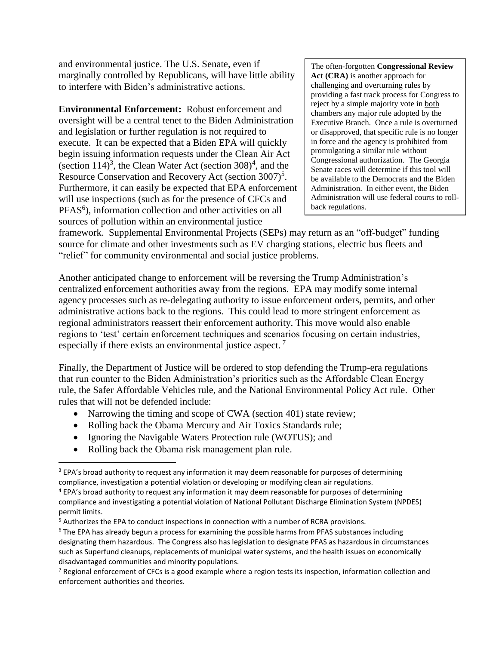and environmental justice. The U.S. Senate, even if marginally controlled by Republicans, will have little ability to interfere with Biden's administrative actions.

**Environmental Enforcement:** Robust enforcement and oversight will be a central tenet to the Biden Administration and legislation or further regulation is not required to execute. It can be expected that a Biden EPA will quickly begin issuing information requests under the Clean Air Act (section  $114$ )<sup>3</sup>, the Clean Water Act (section  $308$ )<sup>4</sup>, and the Resource Conservation and Recovery Act (section 3007)<sup>5</sup>. Furthermore, it can easily be expected that EPA enforcement will use inspections (such as for the presence of CFCs and PFAS<sup>6</sup>), information collection and other activities on all sources of pollution within an environmental justice

The often-forgotten **Congressional Review Act (CRA)** is another approach for challenging and overturning rules by providing a fast track process for Congress to reject by a simple majority vote in both chambers any major rule adopted by the Executive Branch. Once a rule is overturned or disapproved, that specific rule is no longer in force and the agency is prohibited from promulgating a similar rule without Congressional authorization. The Georgia Senate races will determine if this tool will be available to the Democrats and the Biden Administration. In either event, the Biden Administration will use federal courts to rollback regulations.

framework. Supplemental Environmental Projects (SEPs) may return as an "off-budget" funding source for climate and other investments such as EV charging stations, electric bus fleets and "relief" for community environmental and social justice problems.

Another anticipated change to enforcement will be reversing the Trump Administration's centralized enforcement authorities away from the regions. EPA may modify some internal agency processes such as re-delegating authority to issue enforcement orders, permits, and other administrative actions back to the regions. This could lead to more stringent enforcement as regional administrators reassert their enforcement authority. This move would also enable regions to 'test' certain enforcement techniques and scenarios focusing on certain industries, especially if there exists an environmental justice aspect.<sup>7</sup>

Finally, the Department of Justice will be ordered to stop defending the Trump-era regulations that run counter to the Biden Administration's priorities such as the Affordable Clean Energy rule, the Safer Affordable Vehicles rule, and the National Environmental Policy Act rule. Other rules that will not be defended include:

- Narrowing the timing and scope of CWA (section 401) state review;
- Rolling back the Obama Mercury and Air Toxics Standards rule;
- Ignoring the Navigable Waters Protection rule (WOTUS); and
- Rolling back the Obama risk management plan rule.

 $\overline{a}$ 

<sup>&</sup>lt;sup>3</sup> EPA's broad authority to request any information it may deem reasonable for purposes of determining compliance, investigation a potential violation or developing or modifying clean air regulations. <sup>4</sup> EPA's broad authority to request any information it may deem reasonable for purposes of determining

compliance and investigating a potential violation of National Pollutant Discharge Elimination System (NPDES) permit limits.

<sup>&</sup>lt;sup>5</sup> Authorizes the EPA to conduct inspections in connection with a number of RCRA provisions.

<sup>&</sup>lt;sup>6</sup> The EPA has already begun a process for examining the possible harms from PFAS substances including designating them hazardous. The Congress also has legislation to designate PFAS as hazardous in circumstances such as Superfund cleanups, replacements of municipal water systems, and the health issues on economically disadvantaged communities and minority populations.

 $7$  Regional enforcement of CFCs is a good example where a region tests its inspection, information collection and enforcement authorities and theories.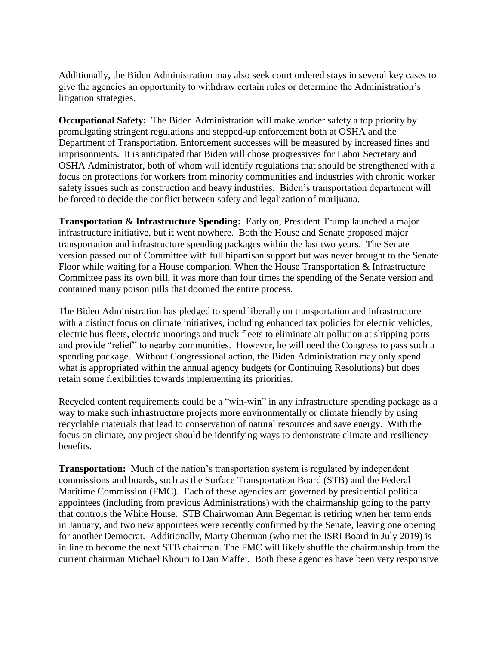Additionally, the Biden Administration may also seek court ordered stays in several key cases to give the agencies an opportunity to withdraw certain rules or determine the Administration's litigation strategies.

**Occupational Safety:** The Biden Administration will make worker safety a top priority by promulgating stringent regulations and stepped-up enforcement both at OSHA and the Department of Transportation. Enforcement successes will be measured by increased fines and imprisonments. It is anticipated that Biden will chose progressives for Labor Secretary and OSHA Administrator, both of whom will identify regulations that should be strengthened with a focus on protections for workers from minority communities and industries with chronic worker safety issues such as construction and heavy industries. Biden's transportation department will be forced to decide the conflict between safety and legalization of marijuana.

**Transportation & Infrastructure Spending:** Early on, President Trump launched a major infrastructure initiative, but it went nowhere. Both the House and Senate proposed major transportation and infrastructure spending packages within the last two years. The Senate version passed out of Committee with full bipartisan support but was never brought to the Senate Floor while waiting for a House companion. When the House Transportation & Infrastructure Committee pass its own bill, it was more than four times the spending of the Senate version and contained many poison pills that doomed the entire process.

The Biden Administration has pledged to spend liberally on transportation and infrastructure with a distinct focus on climate initiatives, including enhanced tax policies for electric vehicles, electric bus fleets, electric moorings and truck fleets to eliminate air pollution at shipping ports and provide "relief" to nearby communities. However, he will need the Congress to pass such a spending package. Without Congressional action, the Biden Administration may only spend what is appropriated within the annual agency budgets (or Continuing Resolutions) but does retain some flexibilities towards implementing its priorities.

Recycled content requirements could be a "win-win" in any infrastructure spending package as a way to make such infrastructure projects more environmentally or climate friendly by using recyclable materials that lead to conservation of natural resources and save energy. With the focus on climate, any project should be identifying ways to demonstrate climate and resiliency benefits.

**Transportation:** Much of the nation's transportation system is regulated by independent commissions and boards, such as the Surface Transportation Board (STB) and the Federal Maritime Commission (FMC). Each of these agencies are governed by presidential political appointees (including from previous Administrations) with the chairmanship going to the party that controls the White House. STB Chairwoman Ann Begeman is retiring when her term ends in January, and two new appointees were recently confirmed by the Senate, leaving one opening for another Democrat. Additionally, Marty Oberman (who met the ISRI Board in July 2019) is in line to become the next STB chairman. The FMC will likely shuffle the chairmanship from the current chairman Michael Khouri to Dan Maffei. Both these agencies have been very responsive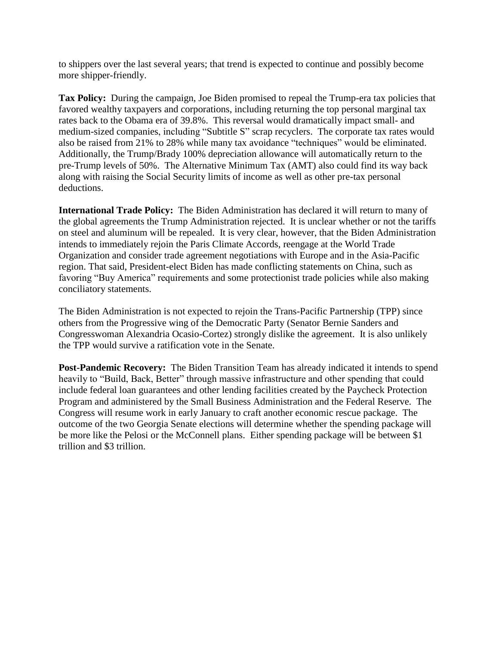to shippers over the last several years; that trend is expected to continue and possibly become more shipper-friendly.

**Tax Policy:** During the campaign, Joe Biden promised to repeal the Trump-era tax policies that favored wealthy taxpayers and corporations, including returning the top personal marginal tax rates back to the Obama era of 39.8%. This reversal would dramatically impact small- and medium-sized companies, including "Subtitle S" scrap recyclers. The corporate tax rates would also be raised from 21% to 28% while many tax avoidance "techniques" would be eliminated. Additionally, the Trump/Brady 100% depreciation allowance will automatically return to the pre-Trump levels of 50%. The Alternative Minimum Tax (AMT) also could find its way back along with raising the Social Security limits of income as well as other pre-tax personal deductions.

**International Trade Policy:** The Biden Administration has declared it will return to many of the global agreements the Trump Administration rejected. It is unclear whether or not the tariffs on steel and aluminum will be repealed. It is very clear, however, that the Biden Administration intends to immediately rejoin the Paris Climate Accords, reengage at the World Trade Organization and consider trade agreement negotiations with Europe and in the Asia-Pacific region. That said, President-elect Biden has made conflicting statements on China, such as favoring "Buy America" requirements and some protectionist trade policies while also making conciliatory statements.

The Biden Administration is not expected to rejoin the Trans-Pacific Partnership (TPP) since others from the Progressive wing of the Democratic Party (Senator Bernie Sanders and Congresswoman Alexandria Ocasio-Cortez) strongly dislike the agreement. It is also unlikely the TPP would survive a ratification vote in the Senate.

**Post-Pandemic Recovery:** The Biden Transition Team has already indicated it intends to spend heavily to "Build, Back, Better" through massive infrastructure and other spending that could include federal loan guarantees and other lending facilities created by the Paycheck Protection Program and administered by the Small Business Administration and the Federal Reserve. The Congress will resume work in early January to craft another economic rescue package. The outcome of the two Georgia Senate elections will determine whether the spending package will be more like the Pelosi or the McConnell plans. Either spending package will be between \$1 trillion and \$3 trillion.